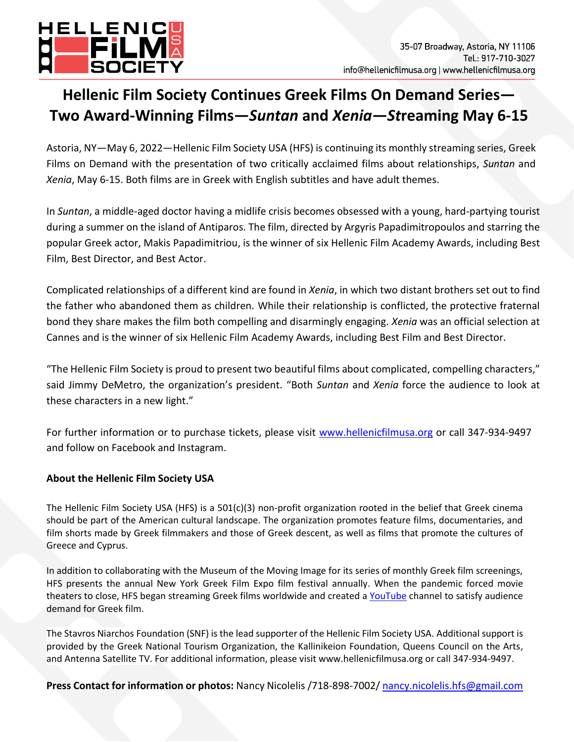

## **Hellenic Film Society Continues Greek Films On Demand Series— Two Award-Winning Films—***Suntan* **and** *Xenia—St***reaming May 6-15**

Astoria, NY—May 6, 2022—Hellenic Film Society USA (HFS) is continuing its monthly streaming series, Greek Films on Demand with the presentation of two critically acclaimed films about relationships, *Suntan* and *Xenia*, May 6-15. Both films are in Greek with English subtitles and have adult themes.

In *Suntan*, a middle-aged doctor having a midlife crisis becomes obsessed with a young, hard-partying tourist during a summer on the island of Antiparos. The film, directed by Argyris Papadimitropoulos and starring the popular Greek actor, Makis Papadimitriou, is the winner of six Hellenic Film Academy Awards, including Best Film, Best Director, and Best Actor.

Complicated relationships of a different kind are found in *Xenia*, in which two distant brothers set out to find the father who abandoned them as children. While their relationship is conflicted, the protective fraternal bond they share makes the film both compelling and disarmingly engaging. *Xenia* was an official selection at Cannes and is the winner of six Hellenic Film Academy Awards, including Best Film and Best Director.

"The Hellenic Film Society is proud to present two beautiful films about complicated, compelling characters," said Jimmy DeMetro, the organization's president. "Both *Suntan* and *Xenia* force the audience to look at these characters in a new light."

For further information or to purchase tickets, please visit [www.hellenicfilmusa.org](http://www.hellenicfilmusa.org/) or call 347-934-9497 and follow on Facebook and Instagram.

## **About the Hellenic Film Society USA**

The Hellenic Film Society USA (HFS) is a  $501(c)(3)$  non-profit organization rooted in the belief that Greek cinema should be part of the American cultural landscape. The organization promotes feature films, documentaries, and film shorts made by Greek filmmakers and those of Greek descent, as well as films that promote the cultures of Greece and Cyprus.

In addition to collaborating with the Museum of the Moving Image for its series of monthly Greek film screenings, HFS presents the annual New York Greek Film Expo film festival annually. When the pandemic forced movie theaters to close, HFS began streaming Greek films worldwide and created a [YouTube](https://www.youtube.com/c/HellenicFilmSocietyUSA) channel to satisfy audience demand for Greek film.

The Stavros Niarchos Foundation (SNF) is the lead supporter of the Hellenic Film Society USA. Additional support is provided by the Greek National Tourism Organization, the Kallinikeion Foundation, Queens Council on the Arts, and Antenna Satellite TV. For additional information, please visit www.hellenicfilmusa.org or call 347-934-9497.

**Press Contact for information or photos:** Nancy Nicolelis /718-898-7002/ [nancy.nicolelis.hfs@gmail.com](https://d.docs.live.net/e83007cdea5d8c47/Documents/ACTIVE%20FILES/Active%20Clients/HELLENIC%20FILM%20SOCIETY/PUBLIC%20RELATIONS/PRESS%20RELEASES-MEDIA%20COVERAGE/nancy.nicolelis.hfs@gmail.com)